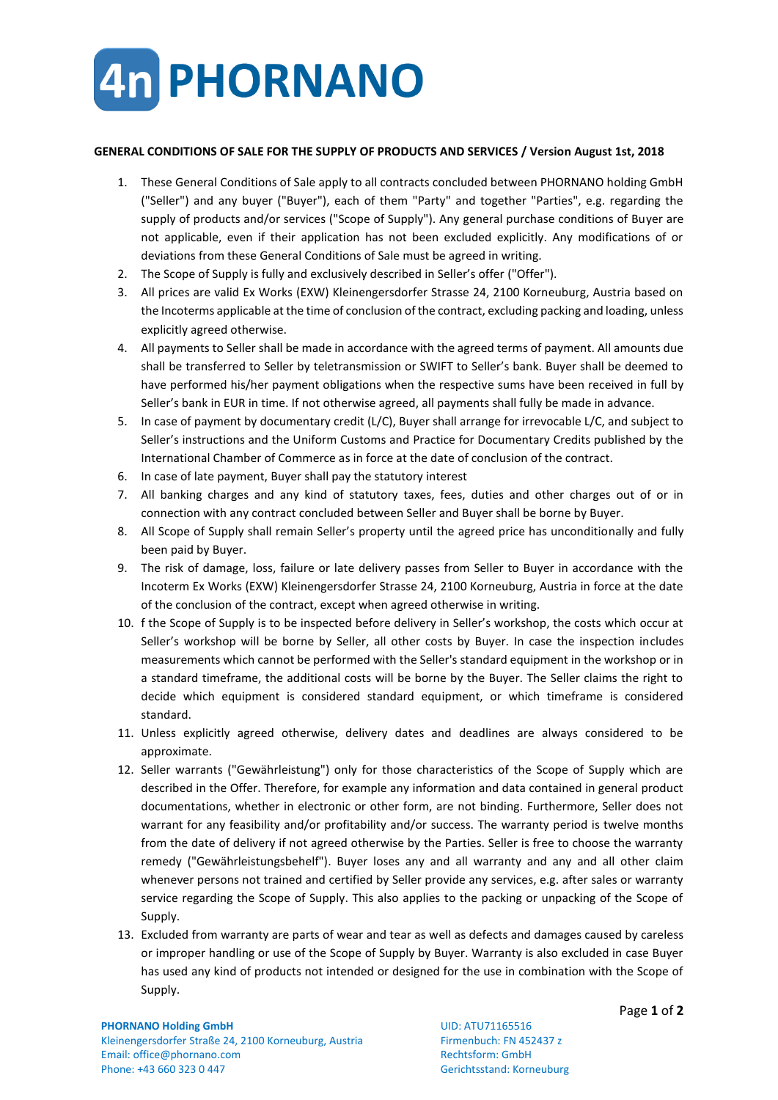

## **GENERAL CONDITIONS OF SALE FOR THE SUPPLY OF PRODUCTS AND SERVICES / Version August 1st, 2018**

- 1. These General Conditions of Sale apply to all contracts concluded between PHORNANO holding GmbH ("Seller") and any buyer ("Buyer"), each of them "Party" and together "Parties", e.g. regarding the supply of products and/or services ("Scope of Supply"). Any general purchase conditions of Buyer are not applicable, even if their application has not been excluded explicitly. Any modifications of or deviations from these General Conditions of Sale must be agreed in writing.
- 2. The Scope of Supply is fully and exclusively described in Seller's offer ("Offer").
- 3. All prices are valid Ex Works (EXW) Kleinengersdorfer Strasse 24, 2100 Korneuburg, Austria based on the Incoterms applicable at the time of conclusion of the contract, excluding packing and loading, unless explicitly agreed otherwise.
- 4. All payments to Seller shall be made in accordance with the agreed terms of payment. All amounts due shall be transferred to Seller by teletransmission or SWIFT to Seller's bank. Buyer shall be deemed to have performed his/her payment obligations when the respective sums have been received in full by Seller's bank in EUR in time. If not otherwise agreed, all payments shall fully be made in advance.
- 5. In case of payment by documentary credit (L/C), Buyer shall arrange for irrevocable L/C, and subject to Seller's instructions and the Uniform Customs and Practice for Documentary Credits published by the International Chamber of Commerce as in force at the date of conclusion of the contract.
- 6. In case of late payment, Buyer shall pay the statutory interest
- 7. All banking charges and any kind of statutory taxes, fees, duties and other charges out of or in connection with any contract concluded between Seller and Buyer shall be borne by Buyer.
- 8. All Scope of Supply shall remain Seller's property until the agreed price has unconditionally and fully been paid by Buyer.
- 9. The risk of damage, loss, failure or late delivery passes from Seller to Buyer in accordance with the Incoterm Ex Works (EXW) Kleinengersdorfer Strasse 24, 2100 Korneuburg, Austria in force at the date of the conclusion of the contract, except when agreed otherwise in writing.
- 10. f the Scope of Supply is to be inspected before delivery in Seller's workshop, the costs which occur at Seller's workshop will be borne by Seller, all other costs by Buyer. In case the inspection includes measurements which cannot be performed with the Seller's standard equipment in the workshop or in a standard timeframe, the additional costs will be borne by the Buyer. The Seller claims the right to decide which equipment is considered standard equipment, or which timeframe is considered standard.
- 11. Unless explicitly agreed otherwise, delivery dates and deadlines are always considered to be approximate.
- 12. Seller warrants ("Gewährleistung") only for those characteristics of the Scope of Supply which are described in the Offer. Therefore, for example any information and data contained in general product documentations, whether in electronic or other form, are not binding. Furthermore, Seller does not warrant for any feasibility and/or profitability and/or success. The warranty period is twelve months from the date of delivery if not agreed otherwise by the Parties. Seller is free to choose the warranty remedy ("Gewährleistungsbehelf"). Buyer loses any and all warranty and any and all other claim whenever persons not trained and certified by Seller provide any services, e.g. after sales or warranty service regarding the Scope of Supply. This also applies to the packing or unpacking of the Scope of Supply.
- 13. Excluded from warranty are parts of wear and tear as well as defects and damages caused by careless or improper handling or use of the Scope of Supply by Buyer. Warranty is also excluded in case Buyer has used any kind of products not intended or designed for the use in combination with the Scope of Supply.

## **PHORNANO Holding GmbH** UID: ATU71165516

Kleinengersdorfer Straße 24, 2100 Korneuburg, Austria Firmenbuch: FN 452437 z Email: office@phornano.com Rechtsform: GmbH Phone: +43 660 323 0 447 Gerichtsstand: Korneuburg